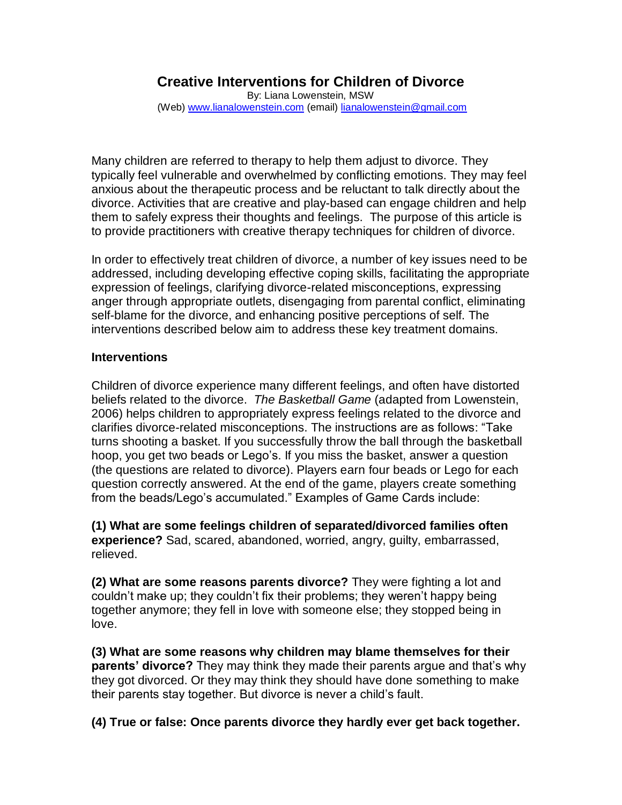# **Creative Interventions for Children of Divorce**

By: Liana Lowenstein, MSW (Web) [www.lianalowenstein.com](http://www.lianalowenstein.com/) (email) [lianalowenstein@gmail.com](mailto:lianalowenstein@gmail.com)

Many children are referred to therapy to help them adjust to divorce. They typically feel vulnerable and overwhelmed by conflicting emotions. They may feel anxious about the therapeutic process and be reluctant to talk directly about the divorce. Activities that are creative and play-based can engage children and help them to safely express their thoughts and feelings. The purpose of this article is to provide practitioners with creative therapy techniques for children of divorce.

In order to effectively treat children of divorce, a number of key issues need to be addressed, including developing effective coping skills, facilitating the appropriate expression of feelings, clarifying divorce-related misconceptions, expressing anger through appropriate outlets, disengaging from parental conflict, eliminating self-blame for the divorce, and enhancing positive perceptions of self. The interventions described below aim to address these key treatment domains.

## **Interventions**

Children of divorce experience many different feelings, and often have distorted beliefs related to the divorce. *The Basketball Game* (adapted from Lowenstein, 2006) helps children to appropriately express feelings related to the divorce and clarifies divorce-related misconceptions. The instructions are as follows: "Take turns shooting a basket. If you successfully throw the ball through the basketball hoop, you get two beads or Lego's. If you miss the basket, answer a question (the questions are related to divorce). Players earn four beads or Lego for each question correctly answered. At the end of the game, players create something from the beads/Lego's accumulated." Examples of Game Cards include:

**(1) What are some feelings children of separated/divorced families often experience?** Sad, scared, abandoned, worried, angry, guilty, embarrassed, relieved.

**(2) What are some reasons parents divorce?** They were fighting a lot and couldn't make up; they couldn't fix their problems; they weren't happy being together anymore; they fell in love with someone else; they stopped being in love.

**(3) What are some reasons why children may blame themselves for their parents' divorce?** They may think they made their parents argue and that's why they got divorced. Or they may think they should have done something to make their parents stay together. But divorce is never a child's fault.

**(4) True or false: Once parents divorce they hardly ever get back together.**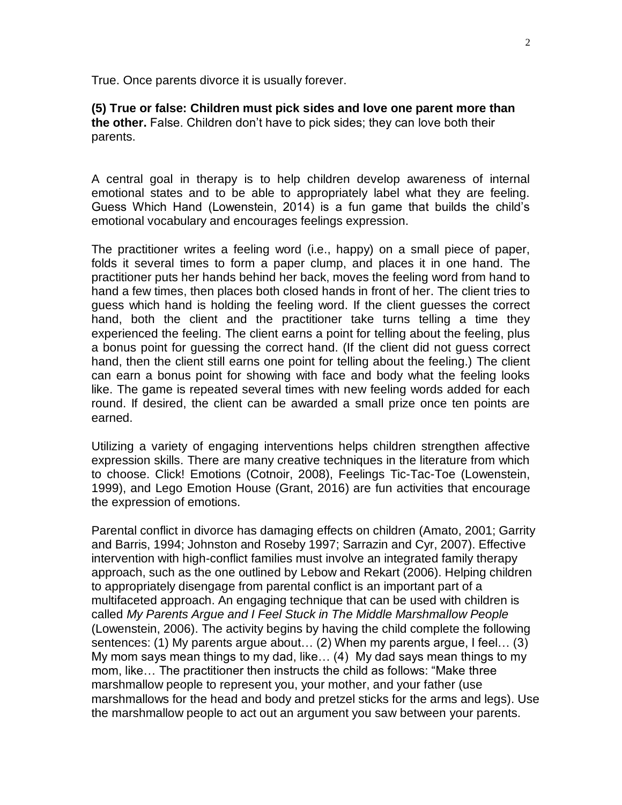True. Once parents divorce it is usually forever.

**(5) True or false: Children must pick sides and love one parent more than the other.** False. Children don't have to pick sides; they can love both their parents.

A central goal in therapy is to help children develop awareness of internal emotional states and to be able to appropriately label what they are feeling. Guess Which Hand (Lowenstein, 2014) is a fun game that builds the child's emotional vocabulary and encourages feelings expression.

The practitioner writes a feeling word (i.e., happy) on a small piece of paper, folds it several times to form a paper clump, and places it in one hand. The practitioner puts her hands behind her back, moves the feeling word from hand to hand a few times, then places both closed hands in front of her. The client tries to guess which hand is holding the feeling word. If the client guesses the correct hand, both the client and the practitioner take turns telling a time they experienced the feeling. The client earns a point for telling about the feeling, plus a bonus point for guessing the correct hand. (If the client did not guess correct hand, then the client still earns one point for telling about the feeling.) The client can earn a bonus point for showing with face and body what the feeling looks like. The game is repeated several times with new feeling words added for each round. If desired, the client can be awarded a small prize once ten points are earned.

Utilizing a variety of engaging interventions helps children strengthen affective expression skills. There are many creative techniques in the literature from which to choose. Click! Emotions (Cotnoir, 2008), Feelings Tic-Tac-Toe (Lowenstein, 1999), and Lego Emotion House (Grant, 2016) are fun activities that encourage the expression of emotions.

Parental conflict in divorce has damaging effects on children (Amato, 2001; Garrity and Barris, 1994; Johnston and Roseby 1997; Sarrazin and Cyr, 2007). Effective intervention with high-conflict families must involve an integrated family therapy approach, such as the one outlined by Lebow and Rekart (2006). Helping children to appropriately disengage from parental conflict is an important part of a multifaceted approach. An engaging technique that can be used with children is called *My Parents Argue and I Feel Stuck in The Middle Marshmallow People* (Lowenstein, 2006). The activity begins by having the child complete the following sentences: (1) My parents argue about… (2) When my parents argue, I feel… (3) My mom says mean things to my dad, like… (4) My dad says mean things to my mom, like… The practitioner then instructs the child as follows: "Make three marshmallow people to represent you, your mother, and your father (use marshmallows for the head and body and pretzel sticks for the arms and legs). Use the marshmallow people to act out an argument you saw between your parents.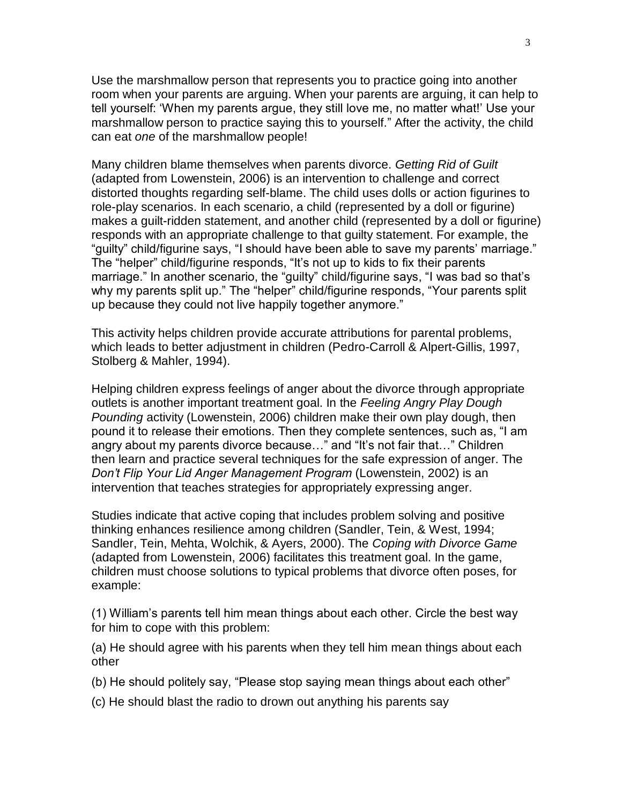Use the marshmallow person that represents you to practice going into another room when your parents are arguing. When your parents are arguing, it can help to tell yourself: 'When my parents argue, they still love me, no matter what!' Use your marshmallow person to practice saying this to yourself." After the activity, the child can eat *one* of the marshmallow people!

Many children blame themselves when parents divorce. *Getting Rid of Guilt* (adapted from Lowenstein, 2006) is an intervention to challenge and correct distorted thoughts regarding self-blame. The child uses dolls or action figurines to role-play scenarios. In each scenario, a child (represented by a doll or figurine) makes a guilt-ridden statement, and another child (represented by a doll or figurine) responds with an appropriate challenge to that guilty statement. For example, the "guilty" child/figurine says, "I should have been able to save my parents' marriage." The "helper" child/figurine responds, "It's not up to kids to fix their parents marriage." In another scenario, the "guilty" child/figurine says, "I was bad so that's why my parents split up." The "helper" child/figurine responds, "Your parents split up because they could not live happily together anymore."

This activity helps children provide accurate attributions for parental problems, which leads to better adjustment in children (Pedro-Carroll & Alpert-Gillis, 1997, Stolberg & Mahler, 1994).

Helping children express feelings of anger about the divorce through appropriate outlets is another important treatment goal. In the *Feeling Angry Play Dough Pounding* activity (Lowenstein, 2006) children make their own play dough, then pound it to release their emotions. Then they complete sentences, such as, "I am angry about my parents divorce because…" and "It's not fair that…" Children then learn and practice several techniques for the safe expression of anger. The *Don't Flip Your Lid Anger Management Program* (Lowenstein, 2002) is an intervention that teaches strategies for appropriately expressing anger.

Studies indicate that active coping that includes problem solving and positive thinking enhances resilience among children (Sandler, Tein, & West, 1994; Sandler, Tein, Mehta, Wolchik, & Ayers, 2000). The *Coping with Divorce Game* (adapted from Lowenstein, 2006) facilitates this treatment goal. In the game, children must choose solutions to typical problems that divorce often poses, for example:

(1) William's parents tell him mean things about each other. Circle the best way for him to cope with this problem:

(a) He should agree with his parents when they tell him mean things about each other

(b) He should politely say, "Please stop saying mean things about each other"

(c) He should blast the radio to drown out anything his parents say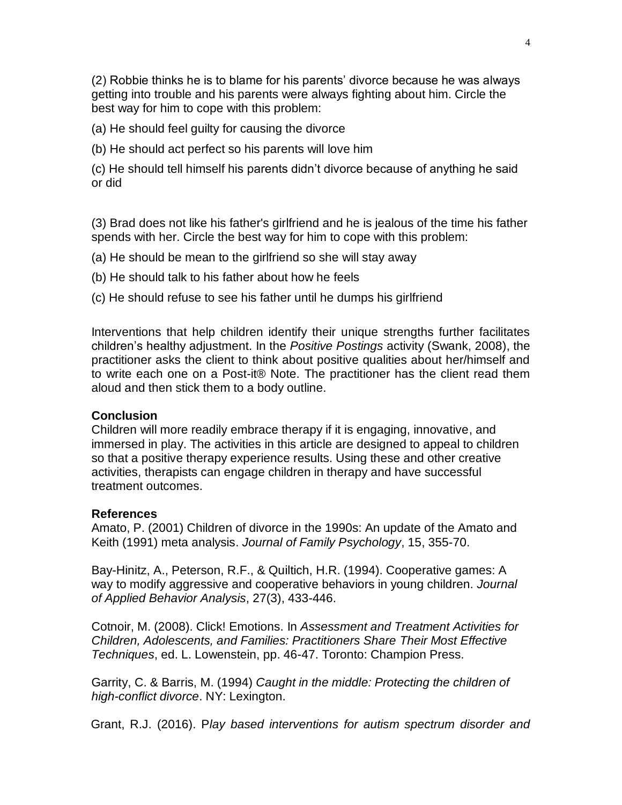(2) Robbie thinks he is to blame for his parents' divorce because he was always getting into trouble and his parents were always fighting about him. Circle the best way for him to cope with this problem:

(a) He should feel guilty for causing the divorce

(b) He should act perfect so his parents will love him

(c) He should tell himself his parents didn't divorce because of anything he said or did

(3) Brad does not like his father's girlfriend and he is jealous of the time his father spends with her. Circle the best way for him to cope with this problem:

- (a) He should be mean to the girlfriend so she will stay away
- (b) He should talk to his father about how he feels
- (c) He should refuse to see his father until he dumps his girlfriend

Interventions that help children identify their unique strengths further facilitates children's healthy adjustment. In the *Positive Postings* activity (Swank, 2008), the practitioner asks the client to think about positive qualities about her/himself and to write each one on a Post-it® Note. The practitioner has the client read them aloud and then stick them to a body outline.

### **Conclusion**

Children will more readily embrace therapy if it is engaging, innovative, and immersed in play. The activities in this article are designed to appeal to children so that a positive therapy experience results. Using these and other creative activities, therapists can engage children in therapy and have successful treatment outcomes.

### **References**

Amato, P. (2001) Children of divorce in the 1990s: An update of the Amato and Keith (1991) meta analysis. *Journal of Family Psychology*, 15, 355-70.

Bay-Hinitz, A., Peterson, R.F., & Quiltich, H.R. (1994). Cooperative games: A way to modify aggressive and cooperative behaviors in young children. *Journal of Applied Behavior Analysis*, 27(3), 433-446.

Cotnoir, M. (2008). Click! Emotions. In *Assessment and Treatment Activities for Children, Adolescents, and Families: Practitioners Share Their Most Effective Techniques*, ed. L. Lowenstein, pp. 46-47. Toronto: Champion Press.

Garrity, C. & Barris, M. (1994) *Caught in the middle: Protecting the children of high-conflict divorce*. NY: Lexington.

Grant, R.J. (2016). P*lay based interventions for autism spectrum disorder and*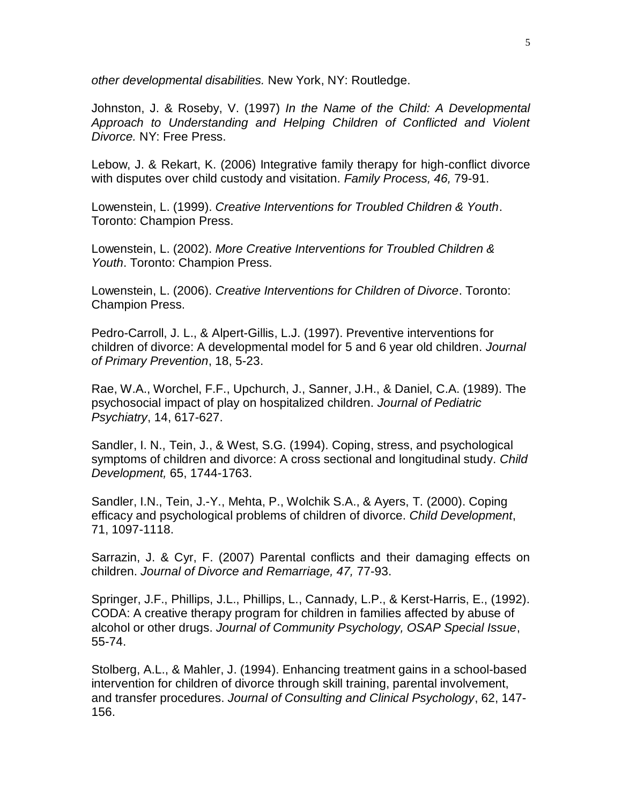*other developmental disabilities.* New York, NY: Routledge.

Johnston, J. & Roseby, V. (1997) *In the Name of the Child: A Developmental Approach to Understanding and Helping Children of Conflicted and Violent Divorce.* NY: Free Press.

Lebow, J. & Rekart, K. (2006) Integrative family therapy for high-conflict divorce with disputes over child custody and visitation. *Family Process, 46,* 79-91.

Lowenstein, L. (1999). *Creative Interventions for Troubled Children & Youth*. Toronto: Champion Press.

Lowenstein, L. (2002). *More Creative Interventions for Troubled Children & Youth*. Toronto: Champion Press.

Lowenstein, L. (2006). *Creative Interventions for Children of Divorce*. Toronto: Champion Press.

Pedro-Carroll, J. L., & Alpert-Gillis, L.J. (1997). Preventive interventions for children of divorce: A developmental model for 5 and 6 year old children. *Journal of Primary Prevention*, 18, 5-23.

Rae, W.A., Worchel, F.F., Upchurch, J., Sanner, J.H., & Daniel, C.A. (1989). The psychosocial impact of play on hospitalized children. *Journal of Pediatric Psychiatry*, 14, 617-627.

Sandler, I. N., Tein, J., & West, S.G. (1994). Coping, stress, and psychological symptoms of children and divorce: A cross sectional and longitudinal study. *Child Development,* 65, 1744-1763.

Sandler, I.N., Tein, J.-Y., Mehta, P., Wolchik S.A., & Ayers, T. (2000). Coping efficacy and psychological problems of children of divorce. *Child Development*, 71, 1097-1118.

Sarrazin, J. & Cyr, F. (2007) Parental conflicts and their damaging effects on children. *Journal of Divorce and Remarriage, 47,* 77-93.

Springer, J.F., Phillips, J.L., Phillips, L., Cannady, L.P., & Kerst-Harris, E., (1992). CODA: A creative therapy program for children in families affected by abuse of alcohol or other drugs. *Journal of Community Psychology, OSAP Special Issue*, 55-74.

Stolberg, A.L., & Mahler, J. (1994). Enhancing treatment gains in a school-based intervention for children of divorce through skill training, parental involvement, and transfer procedures. *Journal of Consulting and Clinical Psychology*, 62, 147- 156.